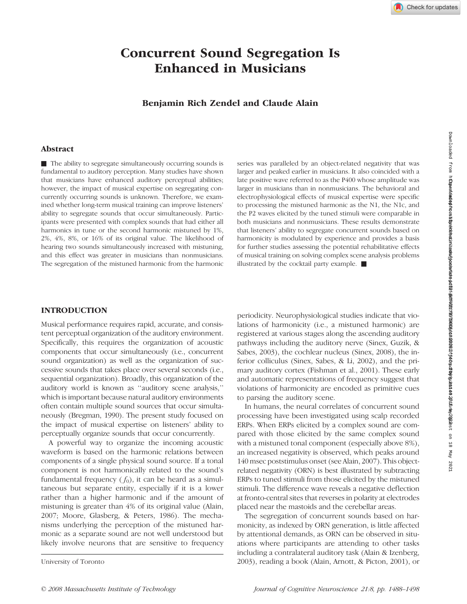# Concurrent Sound Segregation Is Enhanced in Musicians

# Benjamin Rich Zendel and Claude Alain

### Abstract

 $\blacksquare$  The ability to segregate simultaneously occurring sounds is fundamental to auditory perception. Many studies have shown that musicians have enhanced auditory perceptual abilities; however, the impact of musical expertise on segregating concurrently occurring sounds is unknown. Therefore, we examined whether long-term musical training can improve listeners' ability to segregate sounds that occur simultaneously. Participants were presented with complex sounds that had either all harmonics in tune or the second harmonic mistuned by 1%, 2%, 4%, 8%, or 16% of its original value. The likelihood of hearing two sounds simultaneously increased with mistuning, and this effect was greater in musicians than nonmusicians. The segregation of the mistuned harmonic from the harmonic

series was paralleled by an object-related negativity that was larger and peaked earlier in musicians. It also coincided with a late positive wave referred to as the P400 whose amplitude was larger in musicians than in nonmusicians. The behavioral and electrophysiological effects of musical expertise were specific to processing the mistuned harmonic as the N1, the N1c, and the P2 waves elicited by the tuned stimuli were comparable in both musicians and nonmusicians. These results demonstrate that listeners' ability to segregate concurrent sounds based on harmonicity is modulated by experience and provides a basis for further studies assessing the potential rehabilitative effects of musical training on solving complex scene analysis problems illustrated by the cocktail party example.  $\blacksquare$ 

## INTRODUCTION

Musical performance requires rapid, accurate, and consistent perceptual organization of the auditory environment. Specifically, this requires the organization of acoustic components that occur simultaneously (i.e., concurrent sound organization) as well as the organization of successive sounds that takes place over several seconds (i.e., sequential organization). Broadly, this organization of the auditory world is known as ''auditory scene analysis,'' which is important because natural auditory environments often contain multiple sound sources that occur simultaneously (Bregman, 1990). The present study focused on the impact of musical expertise on listeners' ability to perceptually organize sounds that occur concurrently.

A powerful way to organize the incoming acoustic waveform is based on the harmonic relations between components of a single physical sound source. If a tonal component is not harmonically related to the sound's fundamental frequency  $(f_0)$ , it can be heard as a simultaneous but separate entity, especially if it is a lower rather than a higher harmonic and if the amount of mistuning is greater than 4% of its original value (Alain, 2007; Moore, Glasberg, & Peters, 1986). The mechanisms underlying the perception of the mistuned harmonic as a separate sound are not well understood but likely involve neurons that are sensitive to frequency

periodicity. Neurophysiological studies indicate that violations of harmonicity (i.e., a mistuned harmonic) are registered at various stages along the ascending auditory pathways including the auditory nerve (Sinex, Guzik, & Sabes, 2003), the cochlear nucleus (Sinex, 2008), the inferior colliculus (Sinex, Sabes, & Li, 2002), and the primary auditory cortex (Fishman et al., 2001). These early and automatic representations of frequency suggest that violations of harmonicity are encoded as primitive cues to parsing the auditory scene.

In humans, the neural correlates of concurrent sound processing have been investigated using scalp recorded ERPs. When ERPs elicited by a complex sound are compared with those elicited by the same complex sound with a mistuned tonal component (especially above 8%), an increased negativity is observed, which peaks around 140 msec poststimulus onset (see Alain, 2007). This objectrelated negativity (ORN) is best illustrated by subtracting ERPs to tuned stimuli from those elicited by the mistuned stimuli. The difference wave reveals a negative deflection at fronto-central sites that reverses in polarity at electrodes placed near the mastoids and the cerebellar areas.

The segregation of concurrent sounds based on harmonicity, as indexed by ORN generation, is little affected by attentional demands, as ORN can be observed in situations where participants are attending to other tasks including a contralateral auditory task (Alain & Izenberg, University of Toronto 2003), reading a book (Alain, Arnott, & Picton, 2001), or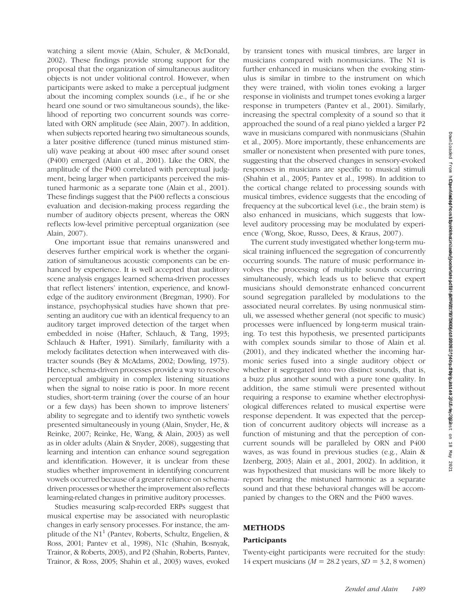watching a silent movie (Alain, Schuler, & McDonald, 2002). These findings provide strong support for the proposal that the organization of simultaneous auditory objects is not under volitional control. However, when participants were asked to make a perceptual judgment about the incoming complex sounds (i.e., if he or she heard one sound or two simultaneous sounds), the likelihood of reporting two concurrent sounds was correlated with ORN amplitude (see Alain, 2007). In addition, when subjects reported hearing two simultaneous sounds, a later positive difference (tuned minus mistuned stimuli) wave peaking at about 400 msec after sound onset (P400) emerged (Alain et al., 2001). Like the ORN, the amplitude of the P400 correlated with perceptual judgment, being larger when participants perceived the mistuned harmonic as a separate tone (Alain et al., 2001). These findings suggest that the P400 reflects a conscious evaluation and decision-making process regarding the number of auditory objects present, whereas the ORN reflects low-level primitive perceptual organization (see Alain, 2007).

One important issue that remains unanswered and deserves further empirical work is whether the organization of simultaneous acoustic components can be enhanced by experience. It is well accepted that auditory scene analysis engages learned schema-driven processes that reflect listeners' intention, experience, and knowledge of the auditory environment (Bregman, 1990). For instance, psychophysical studies have shown that presenting an auditory cue with an identical frequency to an auditory target improved detection of the target when embedded in noise (Hafter, Schlauch, & Tang, 1993; Schlauch & Hafter, 1991). Similarly, familiarity with a melody facilitates detection when interweaved with distracter sounds (Bey & McAdams, 2002; Dowling, 1973). Hence, schema-driven processes provide a way to resolve perceptual ambiguity in complex listening situations when the signal to noise ratio is poor. In more recent studies, short-term training (over the course of an hour or a few days) has been shown to improve listeners' ability to segregate and to identify two synthetic vowels presented simultaneously in young (Alain, Snyder, He, & Reinke, 2007; Reinke, He, Wang, & Alain, 2003) as well as in older adults (Alain & Snyder, 2008), suggesting that learning and intention can enhance sound segregation and identification. However, it is unclear from these studies whether improvement in identifying concurrent vowels occurred because of a greater reliance on schemadriven processes or whether the improvement also reflects learning-related changes in primitive auditory processes.

Studies measuring scalp-recorded ERPs suggest that musical expertise may be associated with neuroplastic changes in early sensory processes. For instance, the amplitude of the  $N1<sup>1</sup>$  (Pantev, Roberts, Schultz, Engelien, & Ross, 2001; Pantev et al., 1998), N1c (Shahin, Bosnyak, Trainor, & Roberts, 2003), and P2 (Shahin, Roberts, Pantev, Trainor, & Ross, 2005; Shahin et al., 2003) waves, evoked

by transient tones with musical timbres, are larger in musicians compared with nonmusicians. The N1 is further enhanced in musicians when the evoking stimulus is similar in timbre to the instrument on which they were trained, with violin tones evoking a larger response in violinists and trumpet tones evoking a larger response in trumpeters (Pantev et al., 2001). Similarly, increasing the spectral complexity of a sound so that it approached the sound of a real piano yielded a larger P2 wave in musicians compared with nonmusicians (Shahin et al., 2005). More importantly, these enhancements are smaller or nonexistent when presented with pure tones, suggesting that the observed changes in sensory-evoked responses in musicians are specific to musical stimuli (Shahin et al., 2005; Pantev et al., 1998). In addition to the cortical change related to processing sounds with musical timbres, evidence suggests that the encoding of frequency at the subcortical level (i.e., the brain stem) is also enhanced in musicians, which suggests that lowlevel auditory processing may be modulated by experience (Wong, Skoe, Russo, Dees, & Kraus, 2007).

The current study investigated whether long-term musical training influenced the segregation of concurrently occurring sounds. The nature of music performance involves the processing of multiple sounds occurring simultaneously, which leads us to believe that expert musicians should demonstrate enhanced concurrent sound segregation paralleled by modulations to the associated neural correlates. By using nonmusical stimuli, we assessed whether general (not specific to music) processes were influenced by long-term musical training. To test this hypothesis, we presented participants with complex sounds similar to those of Alain et al. (2001), and they indicated whether the incoming harmonic series fused into a single auditory object or whether it segregated into two distinct sounds, that is, a buzz plus another sound with a pure tone quality. In addition, the same stimuli were presented without requiring a response to examine whether electrophysiological differences related to musical expertise were response dependent. It was expected that the perception of concurrent auditory objects will increase as a function of mistuning and that the perception of concurrent sounds will be paralleled by ORN and P400 waves, as was found in previous studies (e.g., Alain & Izenberg, 2003; Alain et al., 2001, 2002). In addition, it was hypothesized that musicians will be more likely to report hearing the mistuned harmonic as a separate sound and that these behavioral changes will be accompanied by changes to the ORN and the P400 waves.

## METHODS

#### Participants

Twenty-eight participants were recruited for the study: 14 expert musicians ( $M = 28.2$  years,  $SD = 3.2$ , 8 women)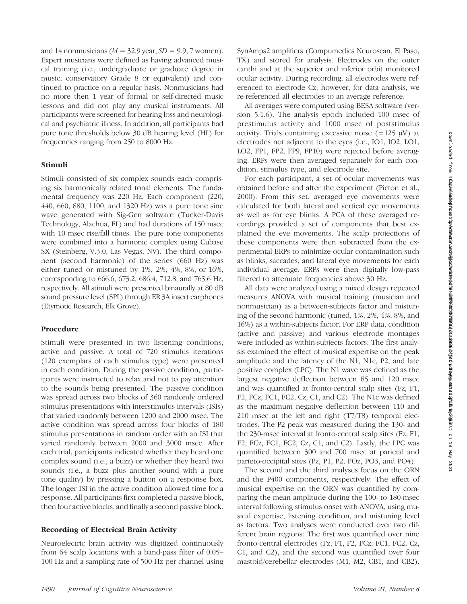and 14 nonmusicians ( $M = 32.9$  year,  $SD = 9.9$ , 7 women). Expert musicians were defined as having advanced musical training (i.e., undergraduate or graduate degree in music, conservatory Grade 8 or equivalent) and continued to practice on a regular basis. Nonmusicians had no more then 1 year of formal or self-directed music lessons and did not play any musical instruments. All participants were screened for hearing loss and neurological and psychiatric illness. In addition, all participants had pure tone thresholds below 30 dB hearing level (HL) for frequencies ranging from 250 to 8000 Hz.

#### Stimuli

Stimuli consisted of six complex sounds each comprising six harmonically related tonal elements. The fundamental frequency was 220 Hz. Each component (220, 440, 660, 880, 1100, and 1320 Hz) was a pure tone sine wave generated with Sig-Gen software (Tucker-Davis Technology, Alachua, FL) and had durations of 150 msec with 10 msec rise/fall times. The pure tone components were combined into a harmonic complex using Cubase SX (Steinberg, V.3.0, Las Vegas, NV). The third component (second harmonic) of the series (660 Hz) was either tuned or mistuned by 1%, 2%, 4%, 8%, or 16%, corresponding to 666.6, 673.2, 686.4, 712.8, and 765.6 Hz, respectively. All stimuli were presented binaurally at 80 dB sound pressure level (SPL) through ER 3A insert earphones (Etymotic Research, Elk Grove).

#### Procedure

Stimuli were presented in two listening conditions, active and passive. A total of 720 stimulus iterations (120 exemplars of each stimulus type) were presented in each condition. During the passive condition, participants were instructed to relax and not to pay attention to the sounds being presented. The passive condition was spread across two blocks of 360 randomly ordered stimulus presentations with interstimulus intervals (ISIs) that varied randomly between 1200 and 2000 msec. The active condition was spread across four blocks of 180 stimulus presentations in random order with an ISI that varied randomly between 2000 and 3000 msec. After each trial, participants indicated whether they heard one complex sound (i.e., a buzz) or whether they heard two sounds (i.e., a buzz plus another sound with a pure tone quality) by pressing a button on a response box. The longer ISI in the active condition allowed time for a response. All participants first completed a passive block, then four active blocks, and finally a second passive block.

## Recording of Electrical Brain Activity

Neuroelectric brain activity was digitized continuously from 64 scalp locations with a band-pass filter of 0.05– 100 Hz and a sampling rate of 500 Hz per channel using SynAmps2 amplifiers (Compumedics Neuroscan, El Paso, TX) and stored for analysis. Electrodes on the outer canthi and at the superior and inferior orbit monitored ocular activity. During recording, all electrodes were referenced to electrode Cz; however, for data analysis, we re-referenced all electrodes to an average reference.

All averages were computed using BESA software (version 5.1.6). The analysis epoch included 100 msec of prestimulus activity and 1000 msec of poststimulus activity. Trials containing excessive noise  $(\pm 125 \mu V)$  at electrodes not adjacent to the eyes (i.e., IO1, IO2, LO1, LO2, FP1, FP2, FP9, FP10) were rejected before averaging. ERPs were then averaged separately for each condition, stimulus type, and electrode site.

For each participant, a set of ocular movements was obtained before and after the experiment (Picton et al., 2000). From this set, averaged eye movements were calculated for both lateral and vertical eye movements as well as for eye blinks. A PCA of these averaged recordings provided a set of components that best explained the eye movements. The scalp projections of these components were then subtracted from the experimental ERPs to minimize ocular contamination such as blinks, saccades, and lateral eye movements for each individual average. ERPs were then digitally low-pass filtered to attenuate frequencies above 30 Hz.

All data were analyzed using a mixed design repeated measures ANOVA with musical training (musician and nonmusician) as a between-subjects factor and mistuning of the second harmonic (tuned, 1%, 2%, 4%, 8%, and 16%) as a within-subjects factor. For ERP data, condition (active and passive) and various electrode montages were included as within-subjects factors. The first analysis examined the effect of musical expertise on the peak amplitude and the latency of the N1, N1c, P2, and late positive complex (LPC). The N1 wave was defined as the largest negative deflection between 85 and 120 msec and was quantified at fronto-central scalp sites (Fz, F1, F2, FCz, FC1, FC2, Cz, C1, and C2). The N1c was defined as the maximum negative deflection between 110 and 210 msec at the left and right (T7/T8) temporal electrodes. The P2 peak was measured during the 130- and the 230-msec interval at fronto-central scalp sites (Fz, F1, F2, FCz, FC1, FC2, Cz, C1, and C2). Lastly, the LPC was quantified between 300 and 700 msec at parietal and parieto-occipital sites (Pz, P1, P2, POz, PO3, and PO4).

The second and the third analyses focus on the ORN and the P400 components, respectively. The effect of musical expertise on the ORN was quantified by comparing the mean amplitude during the 100- to 180-msec interval following stimulus onset with ANOVA, using musical expertise, listening condition, and mistuning level as factors. Two analyses were conducted over two different brain regions: The first was quantified over nine fronto-central electrodes (Fz, F1, F2, FCz, FC1, FC2, Cz, C1, and C2), and the second was quantified over four mastoid/cerebellar electrodes (M1, M2, CB1, and CB2).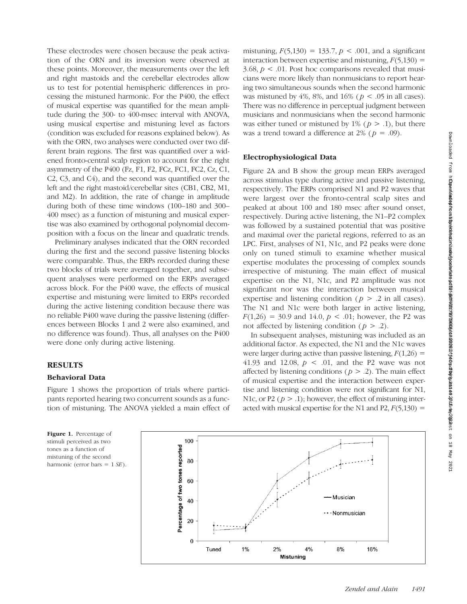Downloaded from ht**Daynkomsdeeirchtpyddinniredungondrichte 1012-16415123266010612000912/1461pdf b9321651401274151201201215120120121401212022-et on 18 May 2022** Downloaded from http://mitprc.silverchair.com/jocn/article-pdf/21/8/1488/1760267/jocn.2009.21140.pdf by guest on 18 May 2021 Downloaded from http://direct.mit.edu/jocn/article-pdf/21/8/1488/1937860/jocn.2009.21140.pdf by guest on 27 June 2022

These electrodes were chosen because the peak activation of the ORN and its inversion were observed at these points. Moreover, the measurements over the left and right mastoids and the cerebellar electrodes allow us to test for potential hemispheric differences in processing the mistuned harmonic. For the P400, the effect of musical expertise was quantified for the mean amplitude during the 300- to 400-msec interval with ANOVA, using musical expertise and mistuning level as factors (condition was excluded for reasons explained below). As with the ORN, two analyses were conducted over two different brain regions. The first was quantified over a widened fronto-central scalp region to account for the right asymmetry of the P400 (Fz, F1, F2, FCz, FC1, FC2, Cz, C1, C2, C3, and C4), and the second was quantified over the left and the right mastoid/cerebellar sites (CB1, CB2, M1, and M2). In addition, the rate of change in amplitude during both of these time windows (100–180 and 300– 400 msec) as a function of mistuning and musical expertise was also examined by orthogonal polynomial decomposition with a focus on the linear and quadratic trends.

Preliminary analyses indicated that the ORN recorded during the first and the second passive listening blocks were comparable. Thus, the ERPs recorded during these two blocks of trials were averaged together, and subsequent analyses were performed on the ERPs averaged across block. For the P400 wave, the effects of musical expertise and mistuning were limited to ERPs recorded during the active listening condition because there was no reliable P400 wave during the passive listening (differences between Blocks 1 and 2 were also examined, and no difference was found). Thus, all analyses on the P400 were done only during active listening.

# **RESULTS**

#### Behavioral Data

Figure 1 shows the proportion of trials where participants reported hearing two concurrent sounds as a function of mistuning. The ANOVA yielded a main effect of mistuning,  $F(5,130) = 133.7$ ,  $p < .001$ , and a significant interaction between expertise and mistuning,  $F(5,130) =$  $3.68, p < .01$ . Post hoc comparisons revealed that musicians were more likely than nonmusicians to report hearing two simultaneous sounds when the second harmonic was mistuned by 4%, 8%, and 16% ( $p < .05$  in all cases). There was no difference in perceptual judgment between musicians and nonmusicians when the second harmonic was either tuned or mistuned by 1% ( $p > .1$ ), but there was a trend toward a difference at  $2\%$  ( $p = .09$ ).

#### Electrophysiological Data

Figure 2A and B show the group mean ERPs averaged across stimulus type during active and passive listening, respectively. The ERPs comprised N1 and P2 waves that were largest over the fronto-central scalp sites and peaked at about 100 and 180 msec after sound onset, respectively. During active listening, the N1–P2 complex was followed by a sustained potential that was positive and maximal over the parietal regions, referred to as an LPC. First, analyses of N1, N1c, and P2 peaks were done only on tuned stimuli to examine whether musical expertise modulates the processing of complex sounds irrespective of mistuning. The main effect of musical expertise on the N1, N1c, and P2 amplitude was not significant nor was the interaction between musical expertise and listening condition ( $p > .2$  in all cases). The N1 and N1c were both larger in active listening,  $F(1,26) = 30.9$  and 14.0,  $p < .01$ ; however, the P2 was not affected by listening condition ( $p > .2$ ).

In subsequent analyses, mistuning was included as an additional factor. As expected, the N1 and the N1c waves were larger during active than passive listening,  $F(1,26) =$ 41.93 and 12.08,  $p < .01$ , and the P2 wave was not affected by listening conditions ( $p > .2$ ). The main effect of musical expertise and the interaction between expertise and listening condition were not significant for N1, N1c, or P2 ( $p > 0.1$ ); however, the effect of mistuning interacted with musical expertise for the N1 and P2,  $F(5,130) =$ 

Figure 1. Percentage of stimuli perceived as two tones as a function of mistuning of the second harmonic (error bars  $= 1 \text{ } SE$ ).

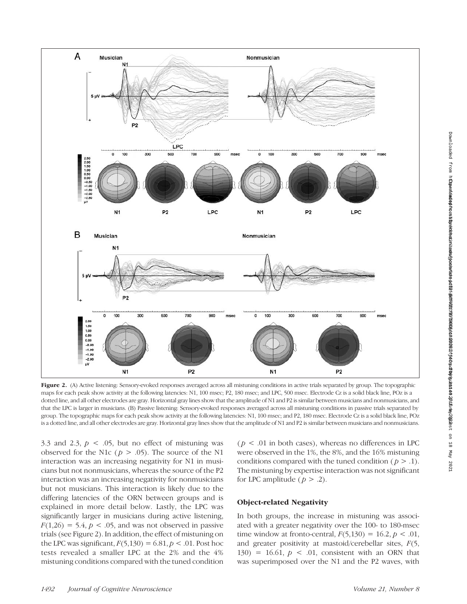

Figure 2. (A) Active listening: Sensory-evoked responses averaged across all mistuning conditions in active trials separated by group. The topographic maps for each peak show activity at the following latencies: N1, 100 msec; P2, 180 msec; and LPC, 500 msec. Electrode Cz is a solid black line, POz is a dotted line, and all other electrodes are gray. Horizontal gray lines show that the amplitude of N1 and P2 is similar between musicians and nonmusicians, and that the LPC is larger in musicians. (B) Passive listening: Sensory-evoked responses averaged across all mistuning conditions in passive trials separated by group. The topographic maps for each peak show activity at the following latencies: N1, 100 msec; and P2, 180 msec. Electrode Cz is a solid black line, POz is a dotted line, and all other electrodes are gray. Horizontal gray lines show that the amplitude of N1 and P2 is similar between musicians and nonmusicians.

3.3 and 2.3,  $p \leq 0.05$ , but no effect of mistuning was observed for the N1c ( $p > .05$ ). The source of the N1 interaction was an increasing negativity for N1 in musicians but not nonmusicians, whereas the source of the P2 interaction was an increasing negativity for nonmusicians but not musicians. This interaction is likely due to the differing latencies of the ORN between groups and is explained in more detail below. Lastly, the LPC was significantly larger in musicians during active listening,  $F(1,26) = 5.4, p < .05$ , and was not observed in passive trials (see Figure 2). In addition, the effect of mistuning on the LPC was significant,  $F(5,130) = 6.81, p < .01$ . Post hoc tests revealed a smaller LPC at the 2% and the 4% mistuning conditions compared with the tuned condition

 $(p < .01$  in both cases), whereas no differences in LPC were observed in the 1%, the 8%, and the 16% mistuning conditions compared with the tuned condition ( $p > .1$ ). The mistuning by expertise interaction was not significant for LPC amplitude ( $p > .2$ ).

#### Object-related Negativity

In both groups, the increase in mistuning was associated with a greater negativity over the 100- to 180-msec time window at fronto-central,  $F(5,130) = 16.2, p < .01$ , and greater positivity at mastoid/cerebellar sites, F(5, 130) = 16.61,  $p \lt 0.01$ , consistent with an ORN that was superimposed over the N1 and the P2 waves, with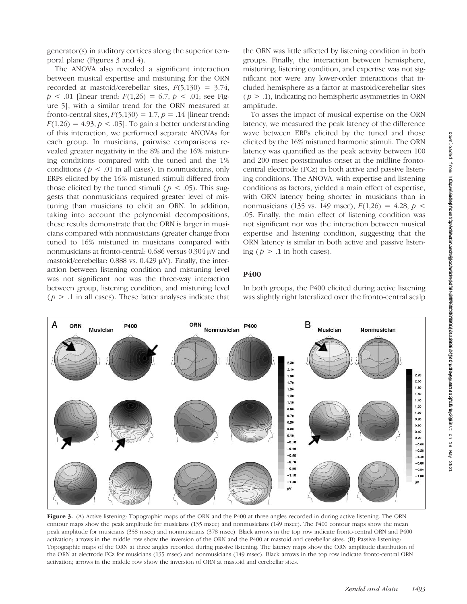generator(s) in auditory cortices along the superior temporal plane (Figures 3 and 4).

The ANOVA also revealed a significant interaction between musical expertise and mistuning for the ORN recorded at mastoid/cerebellar sites,  $F(5,130) = 3.74$ ,  $p < .01$  [linear trend:  $F(1,26) = 6.7, p < .01$ ; see Figure 5], with a similar trend for the ORN measured at fronto-central sites,  $F(5,130) = 1.7, p = .14$  [linear trend:  $F(1,26) = 4.93, p < .05$ . To gain a better understanding of this interaction, we performed separate ANOVAs for each group. In musicians, pairwise comparisons revealed greater negativity in the 8% and the 16% mistuning conditions compared with the tuned and the 1% conditions ( $p < .01$  in all cases). In nonmusicians, only ERPs elicited by the 16% mistuned stimuli differed from those elicited by the tuned stimuli ( $p < .05$ ). This suggests that nonmusicians required greater level of mistuning than musicians to elicit an ORN. In addition, taking into account the polynomial decompositions, these results demonstrate that the ORN is larger in musicians compared with nonmusicians (greater change from tuned to 16% mistuned in musicians compared with nonmusicians at fronto-central:  $0.686$  versus  $0.304$   $\mu$ V and mastoid/cerebellar:  $0.888$  vs.  $0.429 \mu V$ ). Finally, the interaction between listening condition and mistuning level was not significant nor was the three-way interaction between group, listening condition, and mistuning level  $(p > 0.1)$  in all cases). These latter analyses indicate that the ORN was little affected by listening condition in both groups. Finally, the interaction between hemisphere, mistuning, listening condition, and expertise was not significant nor were any lower-order interactions that included hemisphere as a factor at mastoid/cerebellar sites  $(p > .1)$ , indicating no hemispheric asymmetries in ORN amplitude.

To asses the impact of musical expertise on the ORN latency, we measured the peak latency of the difference wave between ERPs elicited by the tuned and those elicited by the 16% mistuned harmonic stimuli. The ORN latency was quantified as the peak activity between 100 and 200 msec poststimulus onset at the midline frontocentral electrode (FCz) in both active and passive listening conditions. The ANOVA, with expertise and listening conditions as factors, yielded a main effect of expertise, with ORN latency being shorter in musicians than in nonmusicians (135 vs. 149 msec),  $F(1,26) = 4.28$ ,  $p <$ .05. Finally, the main effect of listening condition was not significant nor was the interaction between musical expertise and listening condition, suggesting that the ORN latency is similar in both active and passive listening ( $p > .1$  in both cases).

## P400

In both groups, the P400 elicited during active listening was slightly right lateralized over the fronto-central scalp



Figure 3. (A) Active listening: Topographic maps of the ORN and the P400 at three angles recorded in during active listening. The ORN contour maps show the peak amplitude for musicians (135 msec) and nonmusicians (149 msec). The P400 contour maps show the mean peak amplitude for musicians (358 msec) and nonmusicians (378 msec). Black arrows in the top row indicate fronto-central ORN and P400 activation; arrows in the middle row show the inversion of the ORN and the P400 at mastoid and cerebellar sites. (B) Passive listening: Topographic maps of the ORN at three angles recorded during passive listening. The latency maps show the ORN amplitude distribution of the ORN at electrode FCz for musicians (135 msec) and nonmusicians (149 msec). Black arrows in the top row indicate fronto-central ORN activation; arrows in the middle row show the inversion of ORN at mastoid and cerebellar sites.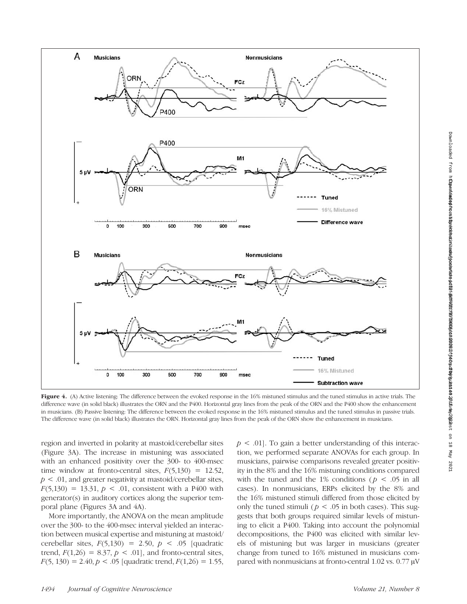

Figure 4. (A) Active listening: The difference between the evoked response in the 16% mistuned stimulus and the tuned stimulus in active trials. The difference wave (in solid black) illustrates the ORN and the P400. Horizontal gray lines from the peak of the ORN and the P400 show the enhancement in musicians. (B) Passive listening: The difference between the evoked response in the 16% mistuned stimulus and the tuned stimulus in passive trials. The difference wave (in solid black) illustrates the ORN. Horizontal gray lines from the peak of the ORN show the enhancement in musicians.

region and inverted in polarity at mastoid/cerebellar sites (Figure 3A). The increase in mistuning was associated with an enhanced positivity over the 300- to 400-msec time window at fronto-central sites,  $F(5,130) = 12.52$ ,  $p < .01$ , and greater negativity at mastoid/cerebellar sites,  $F(5,130) = 13.31, p < .01$ , consistent with a P400 with generator(s) in auditory cortices along the superior temporal plane (Figures 3A and 4A).

More importantly, the ANOVA on the mean amplitude over the 300- to the 400-msec interval yielded an interaction between musical expertise and mistuning at mastoid/ cerebellar sites,  $F(5,130) = 2.50, p < .05$  [quadratic trend,  $F(1,26) = 8.37, p < .01$ ], and fronto-central sites,  $F(5, 130) = 2.40, p < .05$  [quadratic trend,  $F(1,26) = 1.55$ ,

 $p < .01$ . To gain a better understanding of this interaction, we performed separate ANOVAs for each group. In musicians, pairwise comparisons revealed greater positivity in the 8% and the 16% mistuning conditions compared with the tuned and the 1% conditions ( $p < .05$  in all cases). In nonmusicians, ERPs elicited by the 8% and the 16% mistuned stimuli differed from those elicited by only the tuned stimuli ( $p < .05$  in both cases). This suggests that both groups required similar levels of mistuning to elicit a P400. Taking into account the polynomial decompositions, the P400 was elicited with similar levels of mistuning but was larger in musicians (greater change from tuned to 16% mistuned in musicians compared with nonmusicians at fronto-central 1.02 vs.  $0.77 \mu V$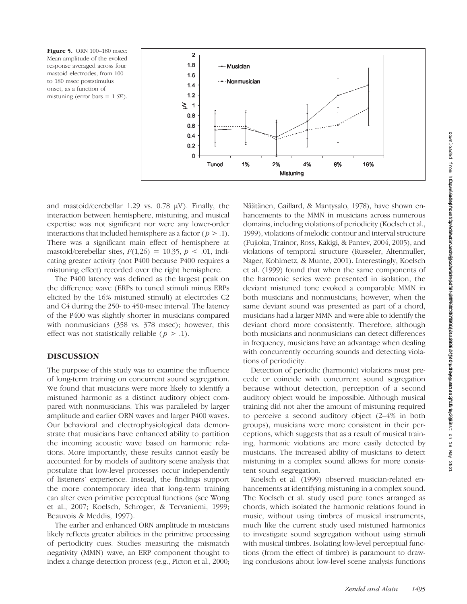**Figure 5.** ORN 100-180 msec: Mean amplitude of the evoked response averaged across four mastoid electrodes, from 100 to 180 msec poststimulus onset, as a function of mistuning (error bars  $= 1$  SE).



and mastoid/cerebellar 1.29 vs.  $0.78 \mu V$ ). Finally, the interaction between hemisphere, mistuning, and musical expertise was not significant nor were any lower-order interactions that included hemisphere as a factor ( $p > 0.1$ ). There was a significant main effect of hemisphere at mastoid/cerebellar sites,  $F(1,26) = 10.35$ ,  $p < .01$ , indicating greater activity (not P400 because P400 requires a mistuning effect) recorded over the right hemisphere.

The P400 latency was defined as the largest peak on the difference wave (ERPs to tuned stimuli minus ERPs elicited by the 16% mistuned stimuli) at electrodes C2 and C4 during the 250- to 450-msec interval. The latency of the P400 was slightly shorter in musicians compared with nonmusicians (358 vs. 378 msec); however, this effect was not statistically reliable ( $p > .1$ ).

# DISCUSSION

The purpose of this study was to examine the influence of long-term training on concurrent sound segregation. We found that musicians were more likely to identify a mistuned harmonic as a distinct auditory object compared with nonmusicians. This was paralleled by larger amplitude and earlier ORN waves and larger P400 waves. Our behavioral and electrophysiological data demonstrate that musicians have enhanced ability to partition the incoming acoustic wave based on harmonic relations. More importantly, these results cannot easily be accounted for by models of auditory scene analysis that postulate that low-level processes occur independently of listeners' experience. Instead, the findings support the more contemporary idea that long-term training can alter even primitive perceptual functions (see Wong et al., 2007; Koelsch, Schroger, & Tervaniemi, 1999; Beauvois & Meddis, 1997).

The earlier and enhanced ORN amplitude in musicians likely reflects greater abilities in the primitive processing of periodicity cues. Studies measuring the mismatch negativity (MMN) wave, an ERP component thought to index a change detection process (e.g., Picton et al., 2000; Näätänen, Gaillard, & Mantysalo, 1978), have shown enhancements to the MMN in musicians across numerous domains, including violations of periodicity (Koelsch et al., 1999), violations of melodic contour and interval structure (Fujioka, Trainor, Ross, Kakigi, & Pantev, 2004, 2005), and violations of temporal structure (Russeler, Altenmuller, Nager, Kohlmetz, & Munte, 2001). Interestingly, Koelsch et al. (1999) found that when the same components of the harmonic series were presented in isolation, the deviant mistuned tone evoked a comparable MMN in both musicians and nonmusicians; however, when the same deviant sound was presented as part of a chord, musicians had a larger MMN and were able to identify the deviant chord more consistently. Therefore, although both musicians and nonmusicians can detect differences in frequency, musicians have an advantage when dealing with concurrently occurring sounds and detecting violations of periodicity.

Detection of periodic (harmonic) violations must precede or coincide with concurrent sound segregation because without detection, perception of a second auditory object would be impossible. Although musical training did not alter the amount of mistuning required to perceive a second auditory object (2–4% in both groups), musicians were more consistent in their perceptions, which suggests that as a result of musical training, harmonic violations are more easily detected by musicians. The increased ability of musicians to detect mistuning in a complex sound allows for more consistent sound segregation.

Koelsch et al. (1999) observed musician-related enhancements at identifying mistuning in a complex sound. The Koelsch et al. study used pure tones arranged as chords, which isolated the harmonic relations found in music, without using timbres of musical instruments, much like the current study used mistuned harmonics to investigate sound segregation without using stimuli with musical timbres. Isolating low-level perceptual functions (from the effect of timbre) is paramount to drawing conclusions about low-level scene analysis functions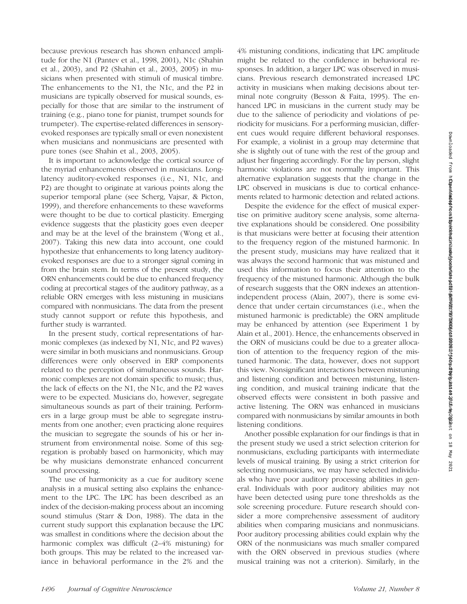because previous research has shown enhanced amplitude for the N1 (Pantev et al., 1998, 2001), N1c (Shahin et al., 2003), and P2 (Shahin et al., 2003, 2005) in musicians when presented with stimuli of musical timbre. The enhancements to the N1, the N1c, and the P2 in musicians are typically observed for musical sounds, especially for those that are similar to the instrument of training (e.g., piano tone for pianist, trumpet sounds for trumpeter). The expertise-related differences in sensoryevoked responses are typically small or even nonexistent when musicians and nonmusicians are presented with pure tones (see Shahin et al., 2003, 2005).

It is important to acknowledge the cortical source of the myriad enhancements observed in musicians. Longlatency auditory-evoked responses (i.e., N1, N1c, and P2) are thought to originate at various points along the superior temporal plane (see Scherg, Vajsar, & Picton, 1999), and therefore enhancements to these waveforms were thought to be due to cortical plasticity. Emerging evidence suggests that the plasticity goes even deeper and may be at the level of the brainstem (Wong et al., 2007). Taking this new data into account, one could hypothesize that enhancements to long latency auditoryevoked responses are due to a stronger signal coming in from the brain stem. In terms of the present study, the ORN enhancements could be due to enhanced frequency coding at precortical stages of the auditory pathway, as a reliable ORN emerges with less mistuning in musicians compared with nonmusicians. The data from the present study cannot support or refute this hypothesis, and further study is warranted.

In the present study, cortical representations of harmonic complexes (as indexed by N1, N1c, and P2 waves) were similar in both musicians and nonmusicians. Group differences were only observed in ERP components related to the perception of simultaneous sounds. Harmonic complexes are not domain specific to music; thus, the lack of effects on the N1, the N1c, and the P2 waves were to be expected. Musicians do, however, segregate simultaneous sounds as part of their training. Performers in a large group must be able to segregate instruments from one another; even practicing alone requires the musician to segregate the sounds of his or her instrument from environmental noise. Some of this segregation is probably based on harmonicity, which may be why musicians demonstrate enhanced concurrent sound processing.

The use of harmonicity as a cue for auditory scene analysis in a musical setting also explains the enhancement to the LPC. The LPC has been described as an index of the decision-making process about an incoming sound stimulus (Starr & Don, 1988). The data in the current study support this explanation because the LPC was smallest in conditions where the decision about the harmonic complex was difficult (2–4% mistuning) for both groups. This may be related to the increased variance in behavioral performance in the 2% and the

4% mistuning conditions, indicating that LPC amplitude might be related to the confidence in behavioral responses. In addition, a larger LPC was observed in musicians. Previous research demonstrated increased LPC activity in musicians when making decisions about terminal note congruity (Besson & Faita, 1995). The enhanced LPC in musicians in the current study may be due to the salience of periodicity and violations of periodicity for musicians. For a performing musician, different cues would require different behavioral responses. For example, a violinist in a group may determine that she is slightly out of tune with the rest of the group and adjust her fingering accordingly. For the lay person, slight harmonic violations are not normally important. This alternative explanation suggests that the change in the LPC observed in musicians is due to cortical enhancements related to harmonic detection and related actions.

Despite the evidence for the effect of musical expertise on primitive auditory scene analysis, some alternative explanations should be considered. One possibility is that musicians were better at focusing their attention to the frequency region of the mistuned harmonic. In the present study, musicians may have realized that it was always the second harmonic that was mistuned and used this information to focus their attention to the frequency of the mistuned harmonic. Although the bulk of research suggests that the ORN indexes an attentionindependent process (Alain, 2007), there is some evidence that under certain circumstances (i.e., when the mistuned harmonic is predictable) the ORN amplitude may be enhanced by attention (see Experiment 1 by Alain et al., 2001). Hence, the enhancements observed in the ORN of musicians could be due to a greater allocation of attention to the frequency region of the mistuned harmonic. The data, however, does not support this view. Nonsignificant interactions between mistuning and listening condition and between mistuning, listening condition, and musical training indicate that the observed effects were consistent in both passive and active listening. The ORN was enhanced in musicians compared with nonmusicians by similar amounts in both listening conditions.

Another possible explanation for our findings is that in the present study we used a strict selection criterion for nonmusicians, excluding participants with intermediate levels of musical training. By using a strict criterion for selecting nonmusicians, we may have selected individuals who have poor auditory processing abilities in general. Individuals with poor auditory abilities may not have been detected using pure tone thresholds as the sole screening procedure. Future research should consider a more comprehensive assessment of auditory abilities when comparing musicians and nonmusicians. Poor auditory processing abilities could explain why the ORN of the nonmusicians was much smaller compared with the ORN observed in previous studies (where musical training was not a criterion). Similarly, in the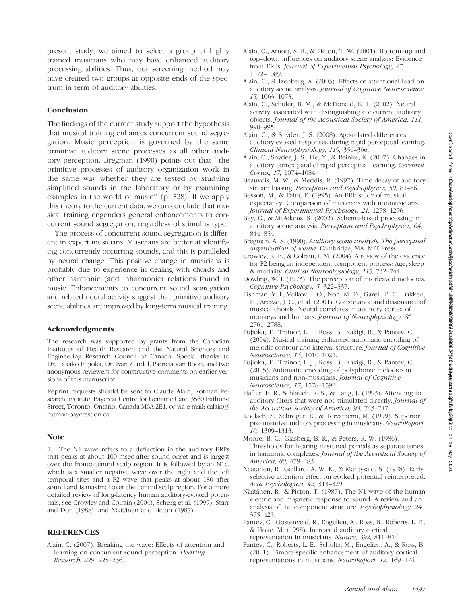present study, we aimed to select a group of highly trained musicians who may have enhanced auditory processing abilities. Thus, our screening method may have created two groups at opposite ends of the spectrum in term of auditory abilities.

#### **Conclusion**

The findings of the current study support the hypothesis that musical training enhances concurrent sound segregation. Music perception is governed by the same primitive auditory scene processes as all other auditory perception. Bregman (1990) points out that ''the primitive processes of auditory organization work in the same way whether they are tested by studying simplified sounds in the laboratory or by examining examples in the world of music'' (p. 528). If we apply this theory to the current data, we can conclude that musical training engenders general enhancements to concurrent sound segregation, regardless of stimulus type.

The process of concurrent sound segregation is different in expert musicians. Musicians are better at identifying concurrently occurring sounds, and this is paralleled by neural change. This positive change in musicians is probably due to experience in dealing with chords and other harmonic (and inharmonic) relations found in music. Enhancements to concurrent sound segregation and related neural activity suggest that primitive auditory scene abilities are improved by long-term musical training.

#### Acknowledgments

The research was supported by grants from the Canadian Institutes of Health Research and the Natural Sciences and Engineering Research Council of Canada. Special thanks to Dr. Takako Fujioka, Dr. Ivan Zendel, Patricia Van Roon, and two anonymous reviewers for constructive comments on earlier versions of this manuscript.

Reprint requests should be sent to Claude Alain, Rotman Research Institute, Baycrest Centre for Geriatric Care, 3560 Bathurst Street, Toronto, Ontario, Canada M6A 2E1, or via e-mail: calain@ rotman-baycrest.on.ca.

#### Note

1. The N1 wave refers to a deflection in the auditory ERPs that peaks at about 100 msec after sound onset and is largest over the fronto-central scalp region. It is followed by an N1c, which is a smaller negative wave over the right and the left temporal sites and a P2 wave that peaks at about 180 after sound and is maximal over the central scalp region. For a more detailed review of long-latency human auditory-evoked potentials, see Crowley and Colrain (2004), Scherg et al. (1999), Starr and Don (1988), and Näätänen and Picton (1987).

#### **REFERENCES**

Alain, C. (2007). Breaking the wave: Effects of attention and learning on concurrent sound perception. Hearing Research, 229, 225–236.

- Alain, C., Arnott, S. R., & Picton, T. W. (2001). Bottom–up and top–down influences on auditory scene analysis: Evidence from ERPs. Journal of Experimental Psychology, 27, 1072–1089.
- Alain, C., & Izenberg, A. (2003). Effects of attentional load on auditory scene analysis. Journal of Cognitive Neuroscience, 15, 1063–1073.
- Alain, C., Schuler, B. M., & McDonald, K. L. (2002). Neural activity associated with distinguishing concurrent auditory objects. Journal of the Acoustical Society of America, 111, 990–995.
- Alain, C., & Snyder, J. S. (2008). Age-related differences in auditory evoked responses during rapid perceptual learning. Clinical Neurophysiology, 119, 356–366.
- Alain, C., Snyder, J. S., He, Y., & Reinke, K. (2007). Changes in auditory cortex parallel rapid perceptual learning. Cerebral Cortex, 17, 1074–1084.
- Beauvois, M. W., & Meddis, R. (1997). Time decay of auditory stream biasing. Perception and Psychophysics, 59, 81–86.
- Besson, M., & Faita, F. (1995). An ERP study of musical expectancy: Comparison of musicians with nonmusicians. Journal of Experimental Psychology, 21, 1278–1296.
- Bey, C., & McAdams, S. (2002). Schema-based processing in auditory scene analysis. Perception and Psychophysics, 64, 844–854.
- Bregman, A. S. (1990). Auditory scene analysis: The perceptual organization of sound. Cambridge, MA: MIT Press.
- Crowley, K. E., & Colrain, I. M. (2004). A review of the evidence for P2 being an independent component process: Age, sleep & modality. Clinical Neurophysiology, 115, 732–744.
- Dowling, W. J. (1973). The perception of interleaved melodies. Cognitive Psychology, 5, 322–337.
- Fishman, Y. I., Volkov, I. O., Noh, M. D., Garell, P. C., Bakken, H., Arezzo, J. C., et al. (2001). Consonance and dissonance of musical chords: Neural correlates in auditory cortex of monkeys and humans. Journal of Neurophysiology, 86, 2761–2788.
- Fujioka, T., Trainor, L. J., Ross, B., Kakigi, R., & Pantev, C. (2004). Musical training enhanced automatic encoding of melodic contour and interval structure. Journal of Cognitive Neuroscience, 16, 1010–1021.
- Fujioka, T., Trainor, L. J., Ross, B., Kakigi, R., & Pantev, C. (2005). Automatic encoding of polyphonic melodies in musicians and non-musicians. Journal of Cognitive Neuroscience, 17, 1578–1592.
- Hafter, E. R., Schlauch, R. S., & Tang, J. (1993). Attending to auditory filters that were not stimulated directly. Journal of the Acoustical Society of America, 94, 743–747.
- Koelsch, S., Schroger, E., & Tervaniemi, M. (1999). Superior pre-attentive auditory processing in musicians. NeuroReport, 10, 1309–1313.
- Moore, B. C., Glasberg, B. R., & Peters, R. W. (1986). Thresholds for hearing mistuned partials as separate tones in harmonic complexes. Journal of the Acoustical Society of America, 80, 479–483.
- Näätänen, R., Gaillard, A. W. K., & Mantysalo, S. (1978). Early selective attention effect on evoked potential reinterpreted. Acta Psychologica, 42, 313–329.
- Näätänen, R., & Picton, T. (1987). The N1 wave of the human electric and magnetic response to sound: A review and an analysis of the component structure. Psychophysiology, 24, 375–425.
- Pantev, C., Oostenveld, R., Engelien, A., Ross, B., Roberts, L. E., & Hoke, M. (1998). Increased auditory cortical representation in musicians. Nature, 392, 811–814.
- Pantev, C., Roberts, L. E., Schultz, M., Engelien, A., & Ross, B. (2001). Timbre-specific enhancement of auditory cortical representations in musicians. NeuroReport, 12, 169–174.